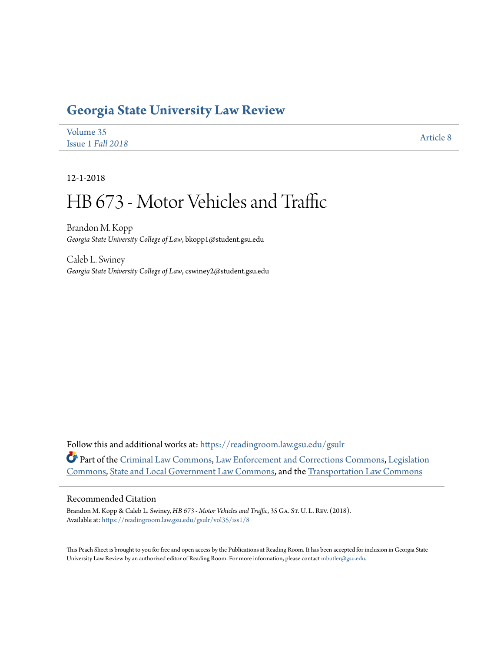## **[Georgia State University Law Review](https://readingroom.law.gsu.edu/gsulr?utm_source=readingroom.law.gsu.edu%2Fgsulr%2Fvol35%2Fiss1%2F8&utm_medium=PDF&utm_campaign=PDFCoverPages)**

| Volume 35         | <b>Article 8</b> |
|-------------------|------------------|
| Issue 1 Fall 2018 |                  |

12-1-2018

# HB 673 - Motor Vehicles and Traffic

Brandon M. Kopp *Georgia State University College of Law*, bkopp1@student.gsu.edu

Caleb L. Swiney *Georgia State University College of Law*, cswiney2@student.gsu.edu

Follow this and additional works at: [https://readingroom.law.gsu.edu/gsulr](https://readingroom.law.gsu.edu/gsulr?utm_source=readingroom.law.gsu.edu%2Fgsulr%2Fvol35%2Fiss1%2F8&utm_medium=PDF&utm_campaign=PDFCoverPages) Part of the [Criminal Law Commons](http://network.bepress.com/hgg/discipline/912?utm_source=readingroom.law.gsu.edu%2Fgsulr%2Fvol35%2Fiss1%2F8&utm_medium=PDF&utm_campaign=PDFCoverPages), [Law Enforcement and Corrections Commons](http://network.bepress.com/hgg/discipline/854?utm_source=readingroom.law.gsu.edu%2Fgsulr%2Fvol35%2Fiss1%2F8&utm_medium=PDF&utm_campaign=PDFCoverPages), [Legislation](http://network.bepress.com/hgg/discipline/859?utm_source=readingroom.law.gsu.edu%2Fgsulr%2Fvol35%2Fiss1%2F8&utm_medium=PDF&utm_campaign=PDFCoverPages) [Commons,](http://network.bepress.com/hgg/discipline/859?utm_source=readingroom.law.gsu.edu%2Fgsulr%2Fvol35%2Fiss1%2F8&utm_medium=PDF&utm_campaign=PDFCoverPages) [State and Local Government Law Commons,](http://network.bepress.com/hgg/discipline/879?utm_source=readingroom.law.gsu.edu%2Fgsulr%2Fvol35%2Fiss1%2F8&utm_medium=PDF&utm_campaign=PDFCoverPages) and the [Transportation Law Commons](http://network.bepress.com/hgg/discipline/885?utm_source=readingroom.law.gsu.edu%2Fgsulr%2Fvol35%2Fiss1%2F8&utm_medium=PDF&utm_campaign=PDFCoverPages)

#### Recommended Citation

Brandon M. Kopp & Caleb L. Swiney, *HB 673 - Motor Vehicles and Traffic*, 35 GA. St. U. L. Rev. (2018). Available at: [https://readingroom.law.gsu.edu/gsulr/vol35/iss1/8](https://readingroom.law.gsu.edu/gsulr/vol35/iss1/8?utm_source=readingroom.law.gsu.edu%2Fgsulr%2Fvol35%2Fiss1%2F8&utm_medium=PDF&utm_campaign=PDFCoverPages)

This Peach Sheet is brought to you for free and open access by the Publications at Reading Room. It has been accepted for inclusion in Georgia State University Law Review by an authorized editor of Reading Room. For more information, please contact [mbutler@gsu.edu.](mailto:mbutler@gsu.edu)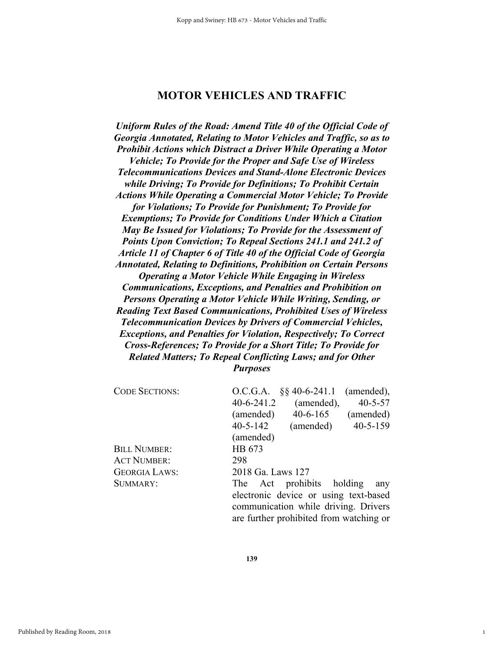### **MOTOR VEHICLES AND TRAFFIC**

*Uniform Rules of the Road: Amend Title 40 of the Official Code of Georgia Annotated, Relating to Motor Vehicles and Traffic, so as to Prohibit Actions which Distract a Driver While Operating a Motor Vehicle; To Provide for the Proper and Safe Use of Wireless Telecommunications Devices and Stand-Alone Electronic Devices while Driving; To Provide for Definitions; To Prohibit Certain Actions While Operating a Commercial Motor Vehicle; To Provide for Violations; To Provide for Punishment; To Provide for Exemptions; To Provide for Conditions Under Which a Citation May Be Issued for Violations; To Provide for the Assessment of Points Upon Conviction; To Repeal Sections 241.1 and 241.2 of Article 11 of Chapter 6 of Title 40 of the Official Code of Georgia Annotated, Relating to Definitions, Prohibition on Certain Persons Operating a Motor Vehicle While Engaging in Wireless Communications, Exceptions, and Penalties and Prohibition on Persons Operating a Motor Vehicle While Writing, Sending, or Reading Text Based Communications, Prohibited Uses of Wireless Telecommunication Devices by Drivers of Commercial Vehicles, Exceptions, and Penalties for Violation, Respectively; To Correct Cross-References; To Provide for a Short Title; To Provide for Related Matters; To Repeal Conflicting Laws; and for Other Purposes* 

| <b>CODE SECTIONS:</b> | $\S$ § 40-6-241.1<br>(amended),<br>O.C.G.A.     |
|-----------------------|-------------------------------------------------|
|                       | $40 - 6 - 241.2$<br>$40 - 5 - 57$<br>(amended), |
|                       | $40 - 6 - 165$<br>(amended)<br>(amended)        |
|                       | $40 - 5 - 159$<br>$40 - 5 - 142$<br>(amended)   |
|                       | (amended)                                       |
| <b>BILL NUMBER:</b>   | HB 673                                          |
| <b>ACT NUMBER:</b>    | 298                                             |
| <b>GEORGIA LAWS:</b>  | 2018 Ga. Laws 127                               |
| SUMMARY:              | The Act prohibits holding<br>any                |
|                       | electronic device or using text-based           |
|                       | communication while driving. Drivers            |
|                       | are further prohibited from watching or         |

1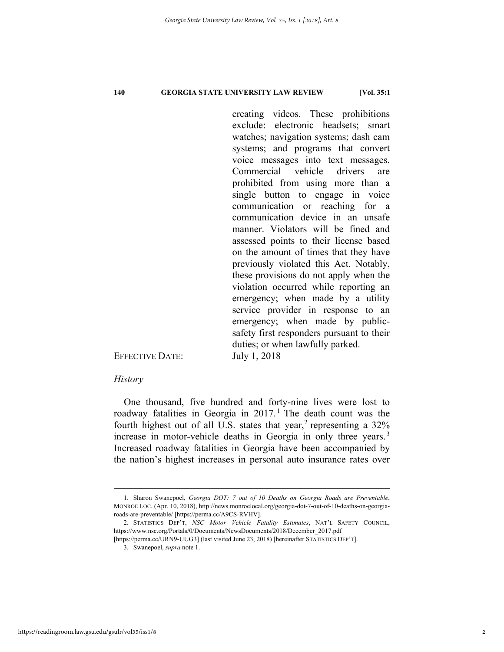creating videos. These prohibitions exclude: electronic headsets; smart watches; navigation systems; dash cam systems; and programs that convert voice messages into text messages. Commercial vehicle drivers are prohibited from using more than a single button to engage in voice communication or reaching for a communication device in an unsafe manner. Violators will be fined and assessed points to their license based on the amount of times that they have previously violated this Act. Notably, these provisions do not apply when the violation occurred while reporting an emergency; when made by a utility service provider in response to an emergency; when made by publicsafety first responders pursuant to their duties; or when lawfully parked.

EFFECTIVE DATE: July 1, 2018

#### *History*

One thousand, five hundred and forty-nine lives were lost to roadway fatalities in Georgia in  $2017$ .<sup>1</sup> The death count was the fourth highest out of all U.S. states that year,<sup>2</sup> representing a  $32\%$ increase in motor-vehicle deaths in Georgia in only three years.<sup>3</sup> Increased roadway fatalities in Georgia have been accompanied by the nation's highest increases in personal auto insurance rates over

https://readingroom.law.gsu.edu/gsulr/vol35/iss1/8

 <sup>1.</sup> Sharon Swanepoel, *Georgia DOT: 7 out of 10 Deaths on Georgia Roads are Preventable*, MONROE LOC. (Apr. 10, 2018), http://news.monroelocal.org/georgia-dot-7-out-of-10-deaths-on-georgiaroads-are-preventable/ [https://perma.cc/A9CS-RVHV].

 <sup>2.</sup> STATISTICS DEP'T, *NSC Motor Vehicle Fatality Estimates*, NAT'L SAFETY COUNCIL, https://www.nsc.org/Portals/0/Documents/NewsDocuments/2018/December\_2017.pdf [https://perma.cc/URN9-UUG3] (last visited June 23, 2018) [hereinafter STATISTICS DEP'T].

 <sup>3.</sup> Swanepoel, *supra* note 1.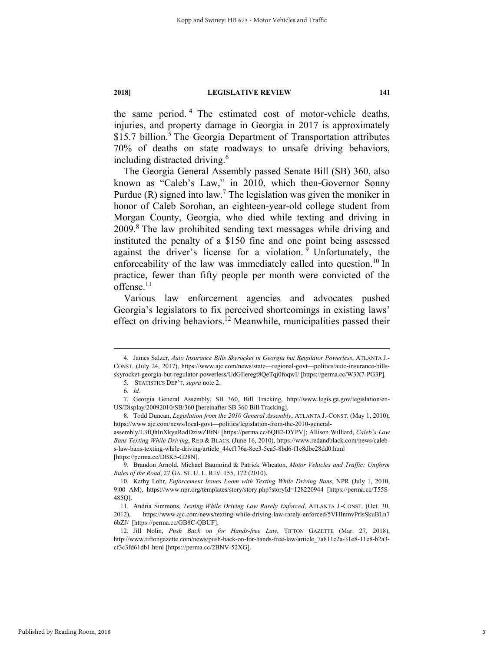the same period. 4 The estimated cost of motor-vehicle deaths, injuries, and property damage in Georgia in 2017 is approximately \$15.7 billion.<sup>5</sup> The Georgia Department of Transportation attributes 70% of deaths on state roadways to unsafe driving behaviors, including distracted driving.<sup>6</sup>

The Georgia General Assembly passed Senate Bill (SB) 360, also known as "Caleb's Law," in 2010, which then-Governor Sonny Purdue (R) signed into law.<sup>7</sup> The legislation was given the moniker in honor of Caleb Sorohan, an eighteen-year-old college student from Morgan County, Georgia, who died while texting and driving in 2009.8 The law prohibited sending text messages while driving and instituted the penalty of a \$150 fine and one point being assessed against the driver's license for a violation.  $\frac{9}{9}$  Unfortunately, the enforceability of the law was immediately called into question.<sup>10</sup> In practice, fewer than fifty people per month were convicted of the offense.<sup>11</sup>

Various law enforcement agencies and advocates pushed Georgia's legislators to fix perceived shortcomings in existing laws' effect on driving behaviors.<sup>12</sup> Meanwhile, municipalities passed their

 <sup>4.</sup> James Salzer, *Auto Insurance Bills Skyrocket in Georgia but Regulator Powerless*, ATLANTA J.- CONST. (July 24, 2017), https://www.ajc.com/news/state—regional-govt—politics/auto-insurance-billsskyrocket-georgia-but-regulator-powerless/UdGIleregt8QeTqj0foqwI/ [https://perma.cc/W3X7-PG3P].

 <sup>5.</sup> STATISTICS DEP'T, *supra* note 2.

<sup>6</sup>*. Id.*

 <sup>7.</sup> Georgia General Assembly, SB 360, Bill Tracking, http://www.legis.ga.gov/legislation/en-US/Display/20092010/SB/360 [hereinafter SB 360 Bill Tracking].

 <sup>8.</sup> Todd Duncan, *Legislation from the 2010 General Assembly*, ATLANTA J.-CONST. (May 1, 2010), https://www.ajc.com/news/local-govt—politics/legislation-from-the-2010-general-

assembly/L3fQhInXkyuRadDziwZBtN/ [https://perma.cc/6QB2-DYPV]; Allison Williard, *Caleb's Law Bans Texting While Driving*, RED & BLACK (June 16, 2010), https://www.redandblack.com/news/calebs-law-bans-texting-while-driving/article\_44cf176a-8ee3-5ea5-8bd6-f1e8dbe28dd0.html [https://perma.cc/DBK5-G28N].

 <sup>9.</sup> Brandon Arnold, Michael Baumrind & Patrick Wheaton, *Motor Vehicles and Traffic: Uniform Rules of the Road*, 27 GA. ST. U. L. REV. 155, 172 (2010).

 <sup>10.</sup> Kathy Lohr, *Enforcement Issues Loom with Texting While Driving Bans*, NPR (July 1, 2010, 9:00 AM), https://www.npr.org/templates/story/story.php?storyId=128220944 [https://perma.cc/T55S-485Q].

 <sup>11.</sup> Andria Simmons, *Texting While Driving Law Rarely Enforced*, ATLANTA J.-CONST. (Oct. 30, 2012), https://www.ajc.com/news/texting-while-driving-law-rarely-enforced/5VHInmvPrlsSkuBLn7 6bZJ/ [https://perma.cc/GB8C-QBUF].

 <sup>12.</sup> Jill Nolin, *Push Back on for Hands-free Law*, TIFTON GAZETTE (Mar. 27, 2018), http://www.tiftongazette.com/news/push-back-on-for-hands-free-law/article\_7a811c2a-31e8-11e8-b2a3 cf3c3fd61db1.html [https://perma.cc/2BNV-52XG].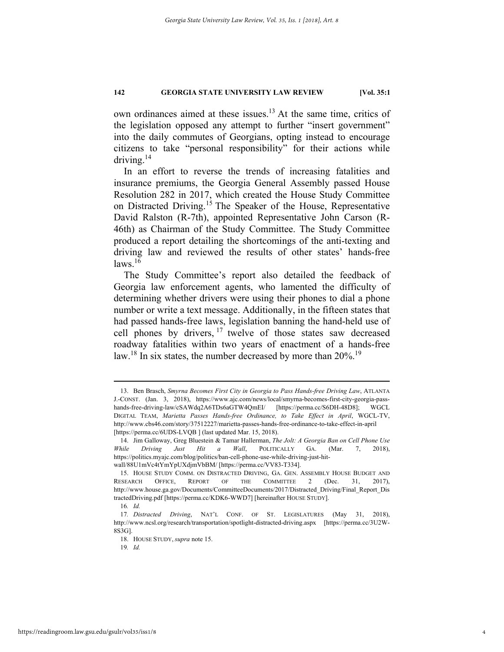own ordinances aimed at these issues.13 At the same time, critics of the legislation opposed any attempt to further "insert government" into the daily commutes of Georgians, opting instead to encourage citizens to take "personal responsibility" for their actions while driving. $14$ 

In an effort to reverse the trends of increasing fatalities and insurance premiums, the Georgia General Assembly passed House Resolution 282 in 2017, which created the House Study Committee on Distracted Driving.15 The Speaker of the House, Representative David Ralston (R-7th), appointed Representative John Carson (R-46th) as Chairman of the Study Committee. The Study Committee produced a report detailing the shortcomings of the anti-texting and driving law and reviewed the results of other states' hands-free  $laws.<sup>16</sup>$ 

The Study Committee's report also detailed the feedback of Georgia law enforcement agents, who lamented the difficulty of determining whether drivers were using their phones to dial a phone number or write a text message. Additionally, in the fifteen states that had passed hands-free laws, legislation banning the hand-held use of cell phones by drivers, 17 twelve of those states saw decreased roadway fatalities within two years of enactment of a hands-free law.<sup>18</sup> In six states, the number decreased by more than 20%.<sup>19</sup>

 <sup>13.</sup> Ben Brasch, *Smyrna Becomes First City in Georgia to Pass Hands-free Driving Law*, ATLANTA J.-CONST. (Jan. 3, 2018), https://www.ajc.com/news/local/smyrna-becomes-first-city-georgia-passhands-free-driving-law/cSAWdq2A6TDs6aGTW4QmEI/ [https://perma.cc/S6DH-48D8]; WGCL DIGITAL TEAM, *Marietta Passes Hands-free Ordinance, to Take Effect in April*, WGCL-TV, http://www.cbs46.com/story/37512227/marietta-passes-hands-free-ordinance-to-take-effect-in-april [https://perma.cc/6UDS-LVQB ] (last updated Mar. 15, 2018).

 <sup>14.</sup> Jim Galloway, Greg Bluestein & Tamar Hallerman, *The Jolt: A Georgia Ban on Cell Phone Use While Driving Just Hit a Wall*, POLITICALLY GA. (Mar. 7, 2018), https://politics.myajc.com/blog/politics/ban-cell-phone-use-while-driving-just-hitwall/88U1mVc4tYmYpUXdjmVbBM/ [https://perma.cc/VV83-T334].

 <sup>15.</sup> HOUSE STUDY COMM. ON DISTRACTED DRIVING, GA. GEN. ASSEMBLY HOUSE BUDGET AND RESEARCH OFFICE, REPORT OF THE COMMITTEE 2 (Dec. 31, 2017), http://www.house.ga.gov/Documents/CommitteeDocuments/2017/Distracted\_Driving/Final\_Report\_Dis tractedDriving.pdf [https://perma.cc/KDK6-WWD7] [hereinafter HOUSE STUDY].

<sup>16</sup>*. Id.*

<sup>17</sup>*. Distracted Driving*, NAT'L CONF. OF ST. LEGISLATURES (May 31, 2018), http://www.ncsl.org/research/transportation/spotlight-distracted-driving.aspx [https://perma.cc/3U2W-8S3G].

 <sup>18.</sup> HOUSE STUDY, *supra* note 15.

<sup>19</sup>*. Id.*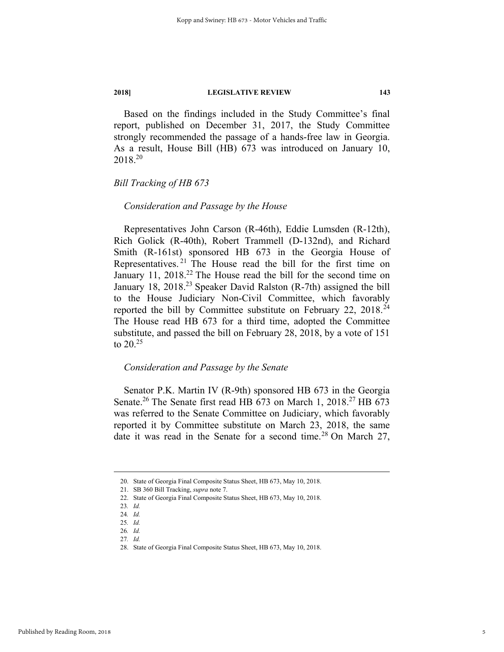Based on the findings included in the Study Committee's final report, published on December 31, 2017, the Study Committee strongly recommended the passage of a hands-free law in Georgia. As a result, House Bill (HB) 673 was introduced on January 10, 2018.20

#### *Bill Tracking of HB 673*

#### *Consideration and Passage by the House*

Representatives John Carson (R-46th), Eddie Lumsden (R-12th), Rich Golick (R-40th), Robert Trammell (D-132nd), and Richard Smith (R-161st) sponsored HB 673 in the Georgia House of Representatives. 21 The House read the bill for the first time on January 11,  $2018<sup>22</sup>$  The House read the bill for the second time on January 18, 2018.<sup>23</sup> Speaker David Ralston (R-7th) assigned the bill to the House Judiciary Non-Civil Committee, which favorably reported the bill by Committee substitute on February 22,  $2018<sup>24</sup>$ The House read HB 673 for a third time, adopted the Committee substitute, and passed the bill on February 28, 2018, by a vote of 151 to 20.25

#### *Consideration and Passage by the Senate*

Senator P.K. Martin IV (R-9th) sponsored HB 673 in the Georgia Senate.<sup>26</sup> The Senate first read HB 673 on March 1, 2018.<sup>27</sup> HB 673 was referred to the Senate Committee on Judiciary, which favorably reported it by Committee substitute on March 23, 2018, the same date it was read in the Senate for a second time.<sup>28</sup> On March 27,

 <sup>20.</sup> State of Georgia Final Composite Status Sheet, HB 673, May 10, 2018.

 <sup>21.</sup> SB 360 Bill Tracking, *supra* note 7.

 <sup>22.</sup> State of Georgia Final Composite Status Sheet, HB 673, May 10, 2018.

<sup>23</sup>*. Id.*

<sup>24</sup>*. Id.*

<sup>25</sup>*. Id.*

<sup>26</sup>*. Id.* 27*. Id.*

 <sup>28.</sup> State of Georgia Final Composite Status Sheet, HB 673, May 10, 2018.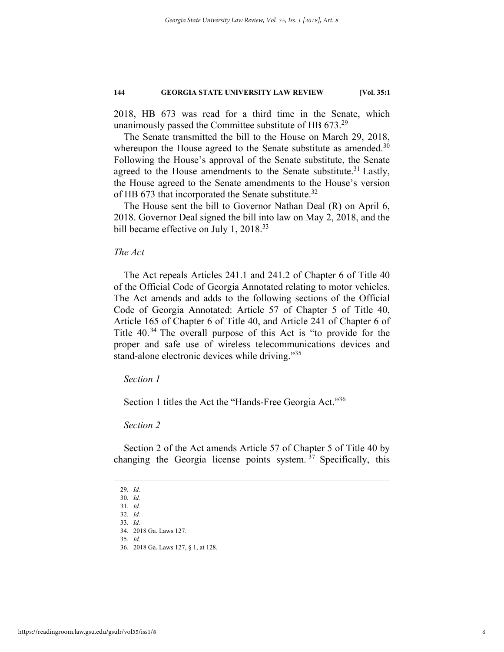2018, HB 673 was read for a third time in the Senate, which unanimously passed the Committee substitute of HB 673.<sup>29</sup>

The Senate transmitted the bill to the House on March 29, 2018, whereupon the House agreed to the Senate substitute as amended.<sup>30</sup> Following the House's approval of the Senate substitute, the Senate agreed to the House amendments to the Senate substitute.<sup>31</sup> Lastly, the House agreed to the Senate amendments to the House's version of HB 673 that incorporated the Senate substitute.<sup>32</sup>

The House sent the bill to Governor Nathan Deal (R) on April 6, 2018. Governor Deal signed the bill into law on May 2, 2018, and the bill became effective on July 1, 2018.<sup>33</sup>

#### *The Act*

The Act repeals Articles 241.1 and 241.2 of Chapter 6 of Title 40 of the Official Code of Georgia Annotated relating to motor vehicles. The Act amends and adds to the following sections of the Official Code of Georgia Annotated: Article 57 of Chapter 5 of Title 40, Article 165 of Chapter 6 of Title 40, and Article 241 of Chapter 6 of Title 40.34 The overall purpose of this Act is "to provide for the proper and safe use of wireless telecommunications devices and stand-alone electronic devices while driving."<sup>35</sup>

#### *Section 1*

Section 1 titles the Act the "Hands-Free Georgia Act."36

#### *Section 2*

Section 2 of the Act amends Article 57 of Chapter 5 of Title 40 by changing the Georgia license points system.  $37$  Specifically, this

 <sup>29</sup>*. Id.*

<sup>30</sup>*. Id.* 31*. Id.*

<sup>32</sup>*. Id.*

<sup>33</sup>*. Id.*

 <sup>34. 2018</sup> Ga. Laws 127.

<sup>35</sup>*. Id.* 

 <sup>36. 2018</sup> Ga. Laws 127, § 1, at 128.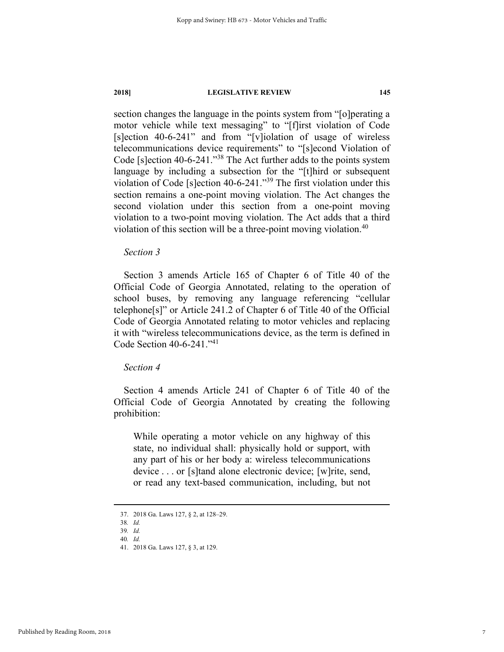section changes the language in the points system from "[o]perating a motor vehicle while text messaging" to "[f]irst violation of Code [s]ection 40-6-241" and from "[v]iolation of usage of wireless telecommunications device requirements" to "[s]econd Violation of Code [s]ection 40-6-241."38 The Act further adds to the points system language by including a subsection for the "[t]hird or subsequent violation of Code [s]ection 40-6-241."39 The first violation under this section remains a one-point moving violation. The Act changes the second violation under this section from a one-point moving violation to a two-point moving violation. The Act adds that a third violation of this section will be a three-point moving violation.<sup>40</sup>

#### *Section 3*

Section 3 amends Article 165 of Chapter 6 of Title 40 of the Official Code of Georgia Annotated, relating to the operation of school buses, by removing any language referencing "cellular telephone[s]" or Article 241.2 of Chapter 6 of Title 40 of the Official Code of Georgia Annotated relating to motor vehicles and replacing it with "wireless telecommunications device, as the term is defined in Code Section 40-6-241."41

#### *Section 4*

Section 4 amends Article 241 of Chapter 6 of Title 40 of the Official Code of Georgia Annotated by creating the following prohibition:

While operating a motor vehicle on any highway of this state, no individual shall: physically hold or support, with any part of his or her body a: wireless telecommunications device . . . or [s]tand alone electronic device; [w]rite, send, or read any text-based communication, including, but not

 <sup>37. 2018</sup> Ga. Laws 127, § 2, at 128–29.

<sup>38</sup>*. Id.*

<sup>39</sup>*. Id.*

<sup>40</sup>*. Id.*

 <sup>41. 2018</sup> Ga. Laws 127, § 3, at 129.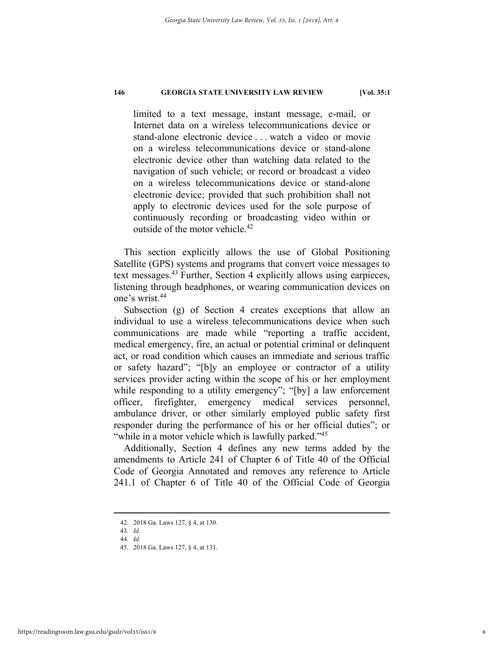limited to a text message, instant message, e-mail, or Internet data on a wireless telecommunications device or stand-alone electronic device . . . watch a video or movie on a wireless telecommunications device or stand-alone electronic device other than watching data related to the navigation of such vehicle; or record or broadcast a video on a wireless telecommunications device or stand-alone electronic device; provided that such prohibition shall not apply to electronic devices used for the sole purpose of continuously recording or broadcasting video within or outside of the motor vehicle.42

This section explicitly allows the use of Global Positioning Satellite (GPS) systems and programs that convert voice messages to text messages.43 Further, Section 4 explicitly allows using earpieces, listening through headphones, or wearing communication devices on one's wrist.44

Subsection (g) of Section 4 creates exceptions that allow an individual to use a wireless telecommunications device when such communications are made while "reporting a traffic accident, medical emergency, fire, an actual or potential criminal or delinquent act, or road condition which causes an immediate and serious traffic or safety hazard"; "[b]y an employee or contractor of a utility services provider acting within the scope of his or her employment while responding to a utility emergency"; "[by] a law enforcement officer, firefighter, emergency medical services personnel, ambulance driver, or other similarly employed public safety first responder during the performance of his or her official duties"; or "while in a motor vehicle which is lawfully parked."<sup>45</sup>

Additionally, Section 4 defines any new terms added by the amendments to Article 241 of Chapter 6 of Title 40 of the Official Code of Georgia Annotated and removes any reference to Article 241.1 of Chapter 6 of Title 40 of the Official Code of Georgia

 <sup>42. 2018</sup> Ga. Laws 127, § 4, at 130.

<sup>43</sup>*. Id.*

<sup>44</sup>*. Id.*

 <sup>45. 2018</sup> Ga. Laws 127, § 4, at 131.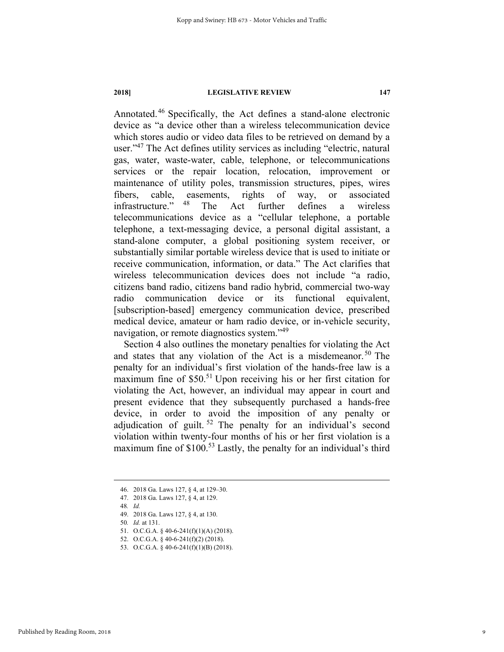Annotated.46 Specifically, the Act defines a stand-alone electronic device as "a device other than a wireless telecommunication device which stores audio or video data files to be retrieved on demand by a user."47 The Act defines utility services as including "electric, natural gas, water, waste-water, cable, telephone, or telecommunications services or the repair location, relocation, improvement or maintenance of utility poles, transmission structures, pipes, wires fibers, cable, easements, rights of way, or associated infrastructure." 48 The Act further defines a wireless telecommunications device as a "cellular telephone, a portable telephone, a text-messaging device, a personal digital assistant, a stand-alone computer, a global positioning system receiver, or substantially similar portable wireless device that is used to initiate or receive communication, information, or data." The Act clarifies that wireless telecommunication devices does not include "a radio, citizens band radio, citizens band radio hybrid, commercial two-way radio communication device or its functional equivalent, [subscription-based] emergency communication device, prescribed medical device, amateur or ham radio device, or in-vehicle security, navigation, or remote diagnostics system."49

Section 4 also outlines the monetary penalties for violating the Act and states that any violation of the Act is a misdemeanor.<sup>50</sup> The penalty for an individual's first violation of the hands-free law is a maximum fine of  $$50<sup>51</sup>$  Upon receiving his or her first citation for violating the Act, however, an individual may appear in court and present evidence that they subsequently purchased a hands-free device, in order to avoid the imposition of any penalty or adjudication of guilt.  $52$  The penalty for an individual's second violation within twenty-four months of his or her first violation is a maximum fine of \$100.<sup>53</sup> Lastly, the penalty for an individual's third

 <sup>46. 2018</sup> Ga. Laws 127, § 4, at 129–30.

 <sup>47. 2018</sup> Ga. Laws 127, § 4, at 129.

<sup>48</sup>*. Id.*

 <sup>49. 2018</sup> Ga. Laws 127, § 4, at 130.

<sup>50</sup>*. Id.* at 131.

 <sup>51.</sup> O.C.G.A. § 40-6-241(f)(1)(A) (2018).

 <sup>52.</sup> O.C.G.A. § 40-6-241(f)(2) (2018).

 <sup>53.</sup> O.C.G.A. § 40-6-241(f)(1)(B) (2018).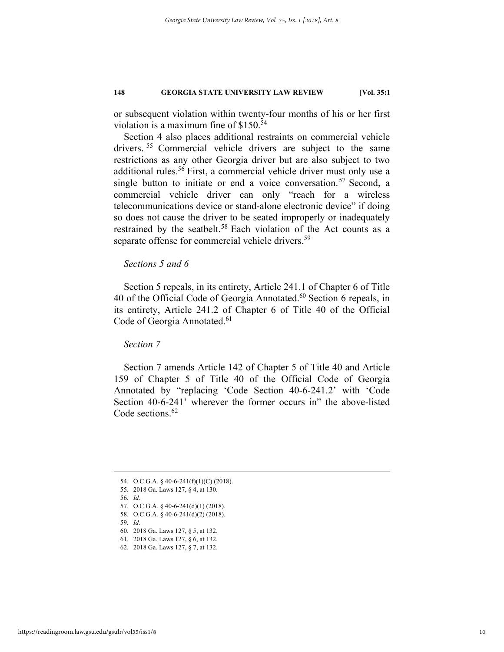or subsequent violation within twenty-four months of his or her first violation is a maximum fine of \$150.<sup>54</sup>

Section 4 also places additional restraints on commercial vehicle drivers. 55 Commercial vehicle drivers are subject to the same restrictions as any other Georgia driver but are also subject to two additional rules.<sup>56</sup> First, a commercial vehicle driver must only use a single button to initiate or end a voice conversation.<sup>57</sup> Second, a commercial vehicle driver can only "reach for a wireless telecommunications device or stand-alone electronic device" if doing so does not cause the driver to be seated improperly or inadequately restrained by the seatbelt.<sup>58</sup> Each violation of the Act counts as a separate offense for commercial vehicle drivers.<sup>59</sup>

#### *Sections 5 and 6*

Section 5 repeals, in its entirety, Article 241.1 of Chapter 6 of Title 40 of the Official Code of Georgia Annotated. $60$  Section 6 repeals, in its entirety, Article 241.2 of Chapter 6 of Title 40 of the Official Code of Georgia Annotated.<sup>61</sup>

*Section 7* 

Section 7 amends Article 142 of Chapter 5 of Title 40 and Article 159 of Chapter 5 of Title 40 of the Official Code of Georgia Annotated by "replacing 'Code Section 40-6-241.2' with 'Code Section 40-6-241' wherever the former occurs in" the above-listed Code sections.<sup>62</sup>

56*. Id.* 

59*. Id.*

 <sup>54.</sup> O.C.G.A. § 40-6-241(f)(1)(C) (2018).

 <sup>55. 2018</sup> Ga. Laws 127, § 4, at 130.

 <sup>57.</sup> O.C.G.A. § 40-6-241(d)(1) (2018).

 <sup>58.</sup> O.C.G.A. § 40-6-241(d)(2) (2018).

 <sup>60. 2018</sup> Ga. Laws 127, § 5, at 132.

 <sup>61. 2018</sup> Ga. Laws 127, § 6, at 132.

 <sup>62. 2018</sup> Ga. Laws 127, § 7, at 132.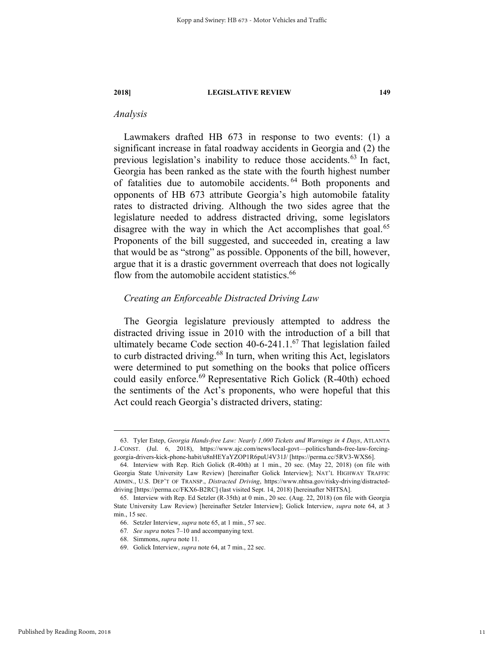#### *Analysis*

Lawmakers drafted HB 673 in response to two events: (1) a significant increase in fatal roadway accidents in Georgia and (2) the previous legislation's inability to reduce those accidents.<sup>63</sup> In fact, Georgia has been ranked as the state with the fourth highest number of fatalities due to automobile accidents. 64 Both proponents and opponents of HB 673 attribute Georgia's high automobile fatality rates to distracted driving. Although the two sides agree that the legislature needed to address distracted driving, some legislators disagree with the way in which the Act accomplishes that goal.<sup>65</sup> Proponents of the bill suggested, and succeeded in, creating a law that would be as "strong" as possible. Opponents of the bill, however, argue that it is a drastic government overreach that does not logically flow from the automobile accident statistics.<sup>66</sup>

#### *Creating an Enforceable Distracted Driving Law*

The Georgia legislature previously attempted to address the distracted driving issue in 2010 with the introduction of a bill that ultimately became Code section  $40-6-241.1$ .<sup>67</sup> That legislation failed to curb distracted driving.<sup>68</sup> In turn, when writing this Act, legislators were determined to put something on the books that police officers could easily enforce.<sup>69</sup> Representative Rich Golick (R-40th) echoed the sentiments of the Act's proponents, who were hopeful that this Act could reach Georgia's distracted drivers, stating:

 <sup>63.</sup> Tyler Estep, *Georgia Hands-free Law: Nearly 1,000 Tickets and Warnings in 4 Days*, ATLANTA J.-CONST. (Jul. 6, 2018), https://www.ajc.com/news/local-govt—politics/hands-free-law-forcinggeorgia-drivers-kick-phone-habit/u8nHEYaYZOP1R6puU4V31J/ [https://perma.cc/5RV3-WXS6].

 <sup>64.</sup> Interview with Rep. Rich Golick (R-40th) at 1 min., 20 sec. (May 22, 2018) (on file with Georgia State University Law Review) [hereinafter Golick Interview]; NAT'L HIGHWAY TRAFFIC ADMIN., U.S. DEP'T OF TRANSP., *Distracted Driving*, https://www.nhtsa.gov/risky-driving/distracteddriving [https://perma.cc/FKX6-B2RC] (last visited Sept. 14, 2018) [hereinafter NHTSA].

 <sup>65.</sup> Interview with Rep. Ed Setzler (R-35th) at 0 min., 20 sec. (Aug. 22, 2018) (on file with Georgia State University Law Review) [hereinafter Setzler Interview]; Golick Interview, *supra* note 64, at 3 min., 15 sec.

 <sup>66.</sup> Setzler Interview, *supra* note 65, at 1 min., 57 sec.

<sup>67</sup>*. See supra* notes 7–10 and accompanying text.

 <sup>68.</sup> Simmons, *supra* note 11.

 <sup>69.</sup> Golick Interview, *supra* note 64, at 7 min., 22 sec.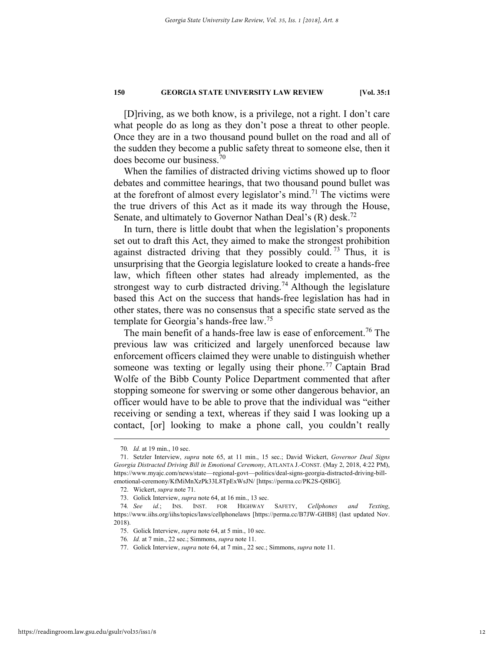[D]riving, as we both know, is a privilege, not a right. I don't care what people do as long as they don't pose a threat to other people. Once they are in a two thousand pound bullet on the road and all of the sudden they become a public safety threat to someone else, then it does become our business.70

When the families of distracted driving victims showed up to floor debates and committee hearings, that two thousand pound bullet was at the forefront of almost every legislator's mind.<sup>71</sup> The victims were the true drivers of this Act as it made its way through the House, Senate, and ultimately to Governor Nathan Deal's  $(R)$  desk.<sup>72</sup>

In turn, there is little doubt that when the legislation's proponents set out to draft this Act, they aimed to make the strongest prohibition against distracted driving that they possibly could.<sup>73</sup> Thus, it is unsurprising that the Georgia legislature looked to create a hands-free law, which fifteen other states had already implemented, as the strongest way to curb distracted driving.<sup>74</sup> Although the legislature based this Act on the success that hands-free legislation has had in other states, there was no consensus that a specific state served as the template for Georgia's hands-free law.<sup>75</sup>

The main benefit of a hands-free law is ease of enforcement.<sup>76</sup> The previous law was criticized and largely unenforced because law enforcement officers claimed they were unable to distinguish whether someone was texting or legally using their phone.<sup>77</sup> Captain Brad Wolfe of the Bibb County Police Department commented that after stopping someone for swerving or some other dangerous behavior, an officer would have to be able to prove that the individual was "either receiving or sending a text, whereas if they said I was looking up a contact, [or] looking to make a phone call, you couldn't really

 <sup>70</sup>*. Id.* at 19 min., 10 sec.

 <sup>71.</sup> Setzler Interview, *supra* note 65, at 11 min., 15 sec.; David Wickert, *Governor Deal Signs Georgia Distracted Driving Bill in Emotional Ceremony*, ATLANTA J.-CONST. (May 2, 2018, 4:22 PM), https://www.myajc.com/news/state—regional-govt—politics/deal-signs-georgia-distracted-driving-billemotional-ceremony/KfMiMnXzPk33L8TpExWsJN/ [https://perma.cc/PK2S-Q8BG].

 <sup>72.</sup> Wickert, *supra* note 71.

 <sup>73.</sup> Golick Interview, *supra* note 64, at 16 min., 13 sec.

<sup>74</sup>*. See id.*; INS. INST. FOR HIGHWAY SAFETY, *Cellphones and Texting*, https://www.iihs.org/iihs/topics/laws/cellphonelaws [https://perma.cc/B7JW-GHB8] (last updated Nov. 2018).

 <sup>75.</sup> Golick Interview, *supra* note 64, at 5 min., 10 sec.

<sup>76</sup>*. Id.* at 7 min., 22 sec.; Simmons, *supra* note 11.

 <sup>77.</sup> Golick Interview, *supra* note 64, at 7 min., 22 sec.; Simmons, *supra* note 11.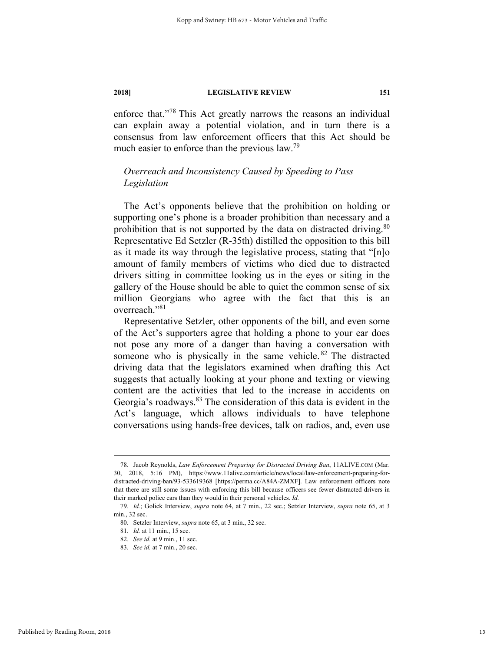enforce that."78 This Act greatly narrows the reasons an individual can explain away a potential violation, and in turn there is a consensus from law enforcement officers that this Act should be much easier to enforce than the previous law.<sup>79</sup>

### *Overreach and Inconsistency Caused by Speeding to Pass Legislation*

The Act's opponents believe that the prohibition on holding or supporting one's phone is a broader prohibition than necessary and a prohibition that is not supported by the data on distracted driving.<sup>80</sup> Representative Ed Setzler (R-35th) distilled the opposition to this bill as it made its way through the legislative process, stating that "[n]o amount of family members of victims who died due to distracted drivers sitting in committee looking us in the eyes or siting in the gallery of the House should be able to quiet the common sense of six million Georgians who agree with the fact that this is an overreach."81

Representative Setzler, other opponents of the bill, and even some of the Act's supporters agree that holding a phone to your ear does not pose any more of a danger than having a conversation with someone who is physically in the same vehicle.  $82$  The distracted driving data that the legislators examined when drafting this Act suggests that actually looking at your phone and texting or viewing content are the activities that led to the increase in accidents on Georgia's roadways.83 The consideration of this data is evident in the Act's language, which allows individuals to have telephone conversations using hands-free devices, talk on radios, and, even use

 <sup>78.</sup> Jacob Reynolds, *Law Enforcement Preparing for Distracted Driving Ban*, 11ALIVE.COM (Mar. 30, 2018, 5:16 PM), https://www.11alive.com/article/news/local/law-enforcement-preparing-fordistracted-driving-ban/93-533619368 [https://perma.cc/A84A-ZMXF]. Law enforcement officers note that there are still some issues with enforcing this bill because officers see fewer distracted drivers in their marked police cars than they would in their personal vehicles. *Id.* 

<sup>79</sup>*. Id.*; Golick Interview, *supra* note 64, at 7 min., 22 sec.; Setzler Interview, *supra* note 65, at 3 min., 32 sec.

 <sup>80.</sup> Setzler Interview, *supra* note 65, at 3 min., 32 sec.

<sup>81</sup>*. Id.* at 11 min., 15 sec.

<sup>82</sup>*. See id.* at 9 min., 11 sec.

<sup>83</sup>*. See id.* at 7 min., 20 sec.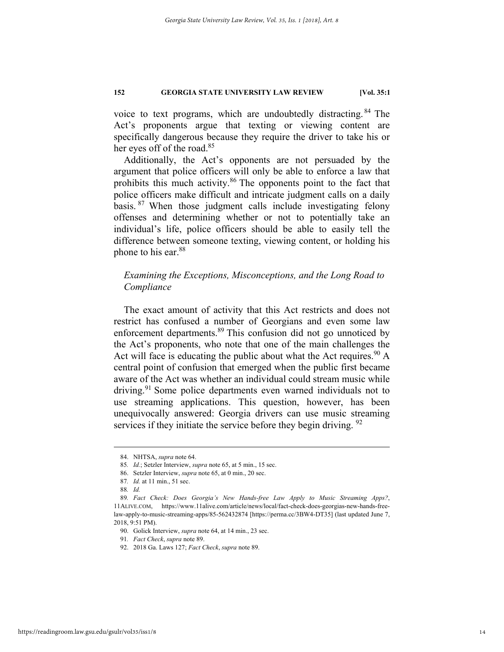voice to text programs, which are undoubtedly distracting. 84 The Act's proponents argue that texting or viewing content are specifically dangerous because they require the driver to take his or her eyes off of the road.<sup>85</sup>

Additionally, the Act's opponents are not persuaded by the argument that police officers will only be able to enforce a law that prohibits this much activity.<sup>86</sup> The opponents point to the fact that police officers make difficult and intricate judgment calls on a daily basis. 87 When those judgment calls include investigating felony offenses and determining whether or not to potentially take an individual's life, police officers should be able to easily tell the difference between someone texting, viewing content, or holding his phone to his ear.<sup>88</sup>

#### *Examining the Exceptions, Misconceptions, and the Long Road to Compliance*

The exact amount of activity that this Act restricts and does not restrict has confused a number of Georgians and even some law enforcement departments.<sup>89</sup> This confusion did not go unnoticed by the Act's proponents, who note that one of the main challenges the Act will face is educating the public about what the Act requires.  $90\text{ A}$ central point of confusion that emerged when the public first became aware of the Act was whether an individual could stream music while driving.<sup>91</sup> Some police departments even warned individuals not to use streaming applications. This question, however, has been unequivocally answered: Georgia drivers can use music streaming services if they initiate the service before they begin driving.  $92$ 

 <sup>84.</sup> NHTSA, *supra* note 64.

<sup>85</sup>*. Id.*; Setzler Interview, *supra* note 65, at 5 min., 15 sec.

 <sup>86.</sup> Setzler Interview, *supra* note 65, at 0 min., 20 sec.

<sup>87</sup>*. Id.* at 11 min., 51 sec.

<sup>88</sup>*. Id.* 

<sup>89</sup>*. Fact Check: Does Georgia's New Hands-free Law Apply to Music Streaming Apps?*, 11ALIVE.COM, https://www.11alive.com/article/news/local/fact-check-does-georgias-new-hands-freelaw-apply-to-music-streaming-apps/85-562432874 [https://perma.cc/3BW4-DT35] (last updated June 7, 2018, 9:51 PM).

 <sup>90.</sup> Golick Interview, *supra* note 64, at 14 min., 23 sec.

<sup>91</sup>*. Fact Check*, *supra* note 89.

 <sup>92. 2018</sup> Ga. Laws 127; *Fact Check*, *supra* note 89.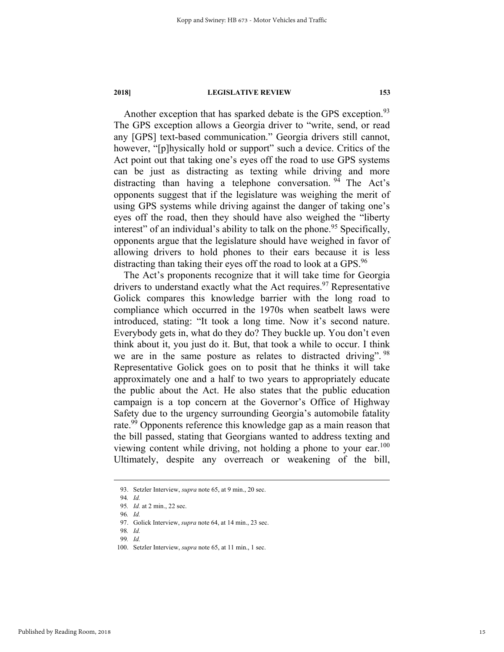Another exception that has sparked debate is the GPS exception.<sup>93</sup> The GPS exception allows a Georgia driver to "write, send, or read any [GPS] text-based communication." Georgia drivers still cannot, however, "[p]hysically hold or support" such a device. Critics of the Act point out that taking one's eyes off the road to use GPS systems can be just as distracting as texting while driving and more distracting than having a telephone conversation.  $94$  The Act's opponents suggest that if the legislature was weighing the merit of using GPS systems while driving against the danger of taking one's eyes off the road, then they should have also weighed the "liberty interest" of an individual's ability to talk on the phone.<sup>95</sup> Specifically, opponents argue that the legislature should have weighed in favor of allowing drivers to hold phones to their ears because it is less distracting than taking their eyes off the road to look at a GPS.<sup>96</sup>

The Act's proponents recognize that it will take time for Georgia drivers to understand exactly what the Act requires.<sup>97</sup> Representative Golick compares this knowledge barrier with the long road to compliance which occurred in the 1970s when seatbelt laws were introduced, stating: "It took a long time. Now it's second nature. Everybody gets in, what do they do? They buckle up. You don't even think about it, you just do it. But, that took a while to occur. I think we are in the same posture as relates to distracted driving". <sup>98</sup> Representative Golick goes on to posit that he thinks it will take approximately one and a half to two years to appropriately educate the public about the Act. He also states that the public education campaign is a top concern at the Governor's Office of Highway Safety due to the urgency surrounding Georgia's automobile fatality rate.<sup>99</sup> Opponents reference this knowledge gap as a main reason that the bill passed, stating that Georgians wanted to address texting and viewing content while driving, not holding a phone to your ear.<sup>100</sup> Ultimately, despite any overreach or weakening of the bill,

 <sup>93.</sup> Setzler Interview, *supra* note 65, at 9 min., 20 sec.

<sup>94</sup>*. Id.* 

<sup>95</sup>*. Id.* at 2 min., 22 sec. 96*. Id.*

 <sup>97.</sup> Golick Interview, *supra* note 64, at 14 min., 23 sec.

<sup>98</sup>*. Id.*

<sup>99</sup>*. Id.*

 <sup>100.</sup> Setzler Interview, *supra* note 65, at 11 min., 1 sec.